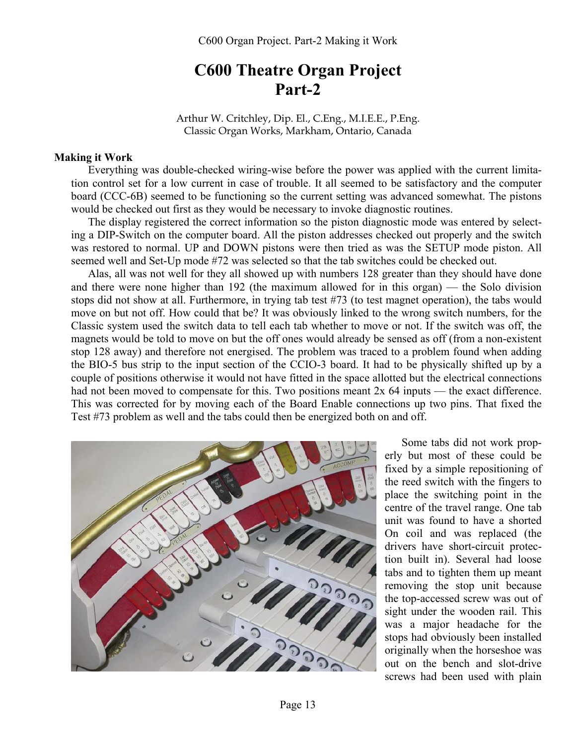# **C600 Theatre Organ Project Part-2**

Arthur W. Critchley, Dip. El., C.Eng., M.I.E.E., P.Eng. Classic Organ Works, Markham, Ontario, Canada

#### **Making it Work**

Everything was double-checked wiring-wise before the power was applied with the current limitation control set for a low current in case of trouble. It all seemed to be satisfactory and the computer board (CCC-6B) seemed to be functioning so the current setting was advanced somewhat. The pistons would be checked out first as they would be necessary to invoke diagnostic routines.

The display registered the correct information so the piston diagnostic mode was entered by selecting a DIP-Switch on the computer board. All the piston addresses checked out properly and the switch was restored to normal. UP and DOWN pistons were then tried as was the SETUP mode piston. All seemed well and Set-Up mode #72 was selected so that the tab switches could be checked out.

Alas, all was not well for they all showed up with numbers 128 greater than they should have done and there were none higher than 192 (the maximum allowed for in this organ) — the Solo division stops did not show at all. Furthermore, in trying tab test #73 (to test magnet operation), the tabs would move on but not off. How could that be? It was obviously linked to the wrong switch numbers, for the Classic system used the switch data to tell each tab whether to move or not. If the switch was off, the magnets would be told to move on but the off ones would already be sensed as off (from a non-existent stop 128 away) and therefore not energised. The problem was traced to a problem found when adding the BIO-5 bus strip to the input section of the CCIO-3 board. It had to be physically shifted up by a couple of positions otherwise it would not have fitted in the space allotted but the electrical connections had not been moved to compensate for this. Two positions meant 2x 64 inputs — the exact difference. This was corrected for by moving each of the Board Enable connections up two pins. That fixed the Test #73 problem as well and the tabs could then be energized both on and off.



Some tabs did not work properly but most of these could be fixed by a simple repositioning of the reed switch with the fingers to place the switching point in the centre of the travel range. One tab unit was found to have a shorted On coil and was replaced (the drivers have short-circuit protection built in). Several had loose tabs and to tighten them up meant removing the stop unit because the top-accessed screw was out of sight under the wooden rail. This was a major headache for the stops had obviously been installed originally when the horseshoe was out on the bench and slot-drive screws had been used with plain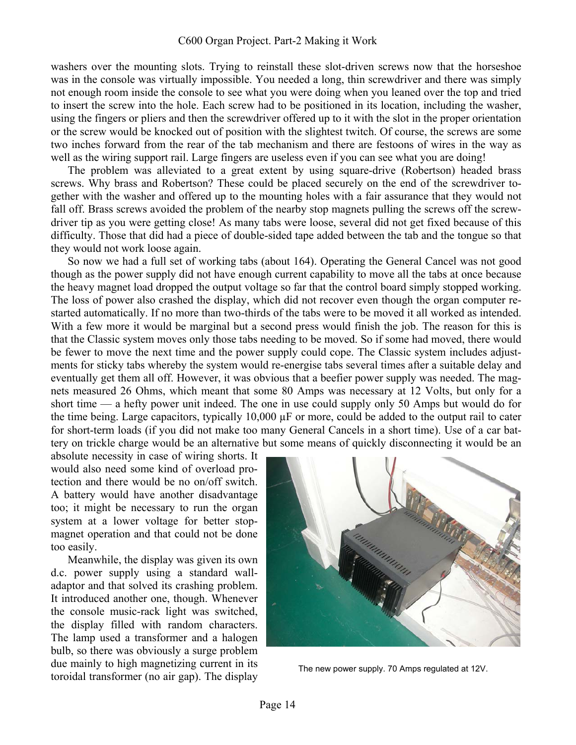#### C600 Organ Project. Part-2 Making it Work

washers over the mounting slots. Trying to reinstall these slot-driven screws now that the horseshoe was in the console was virtually impossible. You needed a long, thin screwdriver and there was simply not enough room inside the console to see what you were doing when you leaned over the top and tried to insert the screw into the hole. Each screw had to be positioned in its location, including the washer, using the fingers or pliers and then the screwdriver offered up to it with the slot in the proper orientation or the screw would be knocked out of position with the slightest twitch. Of course, the screws are some two inches forward from the rear of the tab mechanism and there are festoons of wires in the way as well as the wiring support rail. Large fingers are useless even if you can see what you are doing!

The problem was alleviated to a great extent by using square-drive (Robertson) headed brass screws. Why brass and Robertson? These could be placed securely on the end of the screwdriver together with the washer and offered up to the mounting holes with a fair assurance that they would not fall off. Brass screws avoided the problem of the nearby stop magnets pulling the screws off the screwdriver tip as you were getting close! As many tabs were loose, several did not get fixed because of this difficulty. Those that did had a piece of double-sided tape added between the tab and the tongue so that they would not work loose again.

So now we had a full set of working tabs (about 164). Operating the General Cancel was not good though as the power supply did not have enough current capability to move all the tabs at once because the heavy magnet load dropped the output voltage so far that the control board simply stopped working. The loss of power also crashed the display, which did not recover even though the organ computer restarted automatically. If no more than two-thirds of the tabs were to be moved it all worked as intended. With a few more it would be marginal but a second press would finish the job. The reason for this is that the Classic system moves only those tabs needing to be moved. So if some had moved, there would be fewer to move the next time and the power supply could cope. The Classic system includes adjustments for sticky tabs whereby the system would re-energise tabs several times after a suitable delay and eventually get them all off. However, it was obvious that a beefier power supply was needed. The magnets measured 26 Ohms, which meant that some 80 Amps was necessary at 12 Volts, but only for a short time — a hefty power unit indeed. The one in use could supply only 50 Amps but would do for the time being. Large capacitors, typically 10,000 µF or more, could be added to the output rail to cater for short-term loads (if you did not make too many General Cancels in a short time). Use of a car battery on trickle charge would be an alternative but some means of quickly disconnecting it would be an

absolute necessity in case of wiring shorts. It would also need some kind of overload protection and there would be no on/off switch. A battery would have another disadvantage too; it might be necessary to run the organ system at a lower voltage for better stopmagnet operation and that could not be done too easily.

Meanwhile, the display was given its own d.c. power supply using a standard walladaptor and that solved its crashing problem. It introduced another one, though. Whenever the console music-rack light was switched, the display filled with random characters. The lamp used a transformer and a halogen bulb, so there was obviously a surge problem due mainly to high magnetizing current in its toroidal transformer (no air gap). The display The new power supply. 70 Amps regulated at 12V.<br>toroidal transformer (no air gap). The display

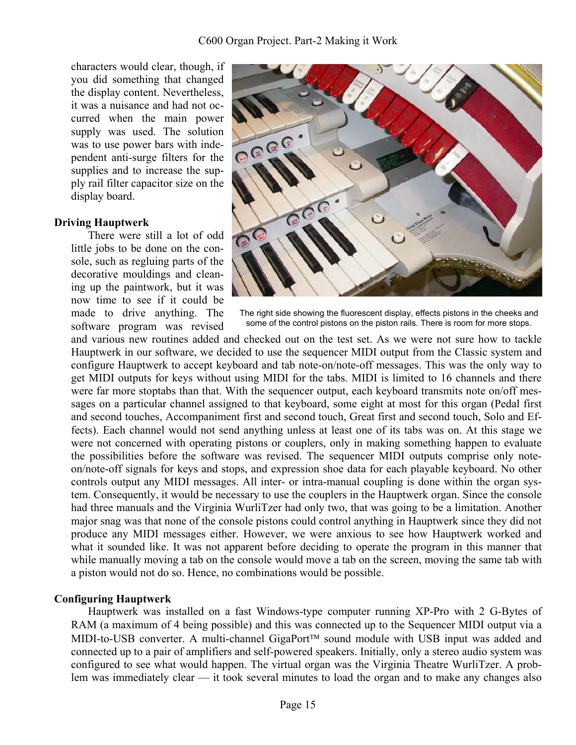characters would clear, though, if you did something that changed the display content. Nevertheless, it was a nuisance and had not occurred when the main power supply was used. The solution was to use power bars with independent anti-surge filters for the supplies and to increase the supply rail filter capacitor size on the display board.

### **Driving Hauptwerk**

There were still a lot of odd little jobs to be done on the console, such as regluing parts of the decorative mouldings and cleaning up the paintwork, but it was now time to see if it could be made to drive anything. The software program was revised



The right side showing the fluorescent display, effects pistons in the cheeks and some of the control pistons on the piston rails. There is room for more stops.

and various new routines added and checked out on the test set. As we were not sure how to tackle Hauptwerk in our software, we decided to use the sequencer MIDI output from the Classic system and configure Hauptwerk to accept keyboard and tab note-on/note-off messages. This was the only way to get MIDI outputs for keys without using MIDI for the tabs. MIDI is limited to 16 channels and there were far more stoptabs than that. With the sequencer output, each keyboard transmits note on/off messages on a particular channel assigned to that keyboard, some eight at most for this organ (Pedal first and second touches, Accompaniment first and second touch, Great first and second touch, Solo and Effects). Each channel would not send anything unless at least one of its tabs was on. At this stage we were not concerned with operating pistons or couplers, only in making something happen to evaluate the possibilities before the software was revised. The sequencer MIDI outputs comprise only noteon/note-off signals for keys and stops, and expression shoe data for each playable keyboard. No other controls output any MIDI messages. All inter- or intra-manual coupling is done within the organ system. Consequently, it would be necessary to use the couplers in the Hauptwerk organ. Since the console had three manuals and the Virginia WurliTzer had only two, that was going to be a limitation. Another major snag was that none of the console pistons could control anything in Hauptwerk since they did not produce any MIDI messages either. However, we were anxious to see how Hauptwerk worked and what it sounded like. It was not apparent before deciding to operate the program in this manner that while manually moving a tab on the console would move a tab on the screen, moving the same tab with a piston would not do so. Hence, no combinations would be possible.

## **Configuring Hauptwerk**

Hauptwerk was installed on a fast Windows-type computer running XP-Pro with 2 G-Bytes of RAM (a maximum of 4 being possible) and this was connected up to the Sequencer MIDI output via a MIDI-to-USB converter. A multi-channel GigaPort<sup>TM</sup> sound module with USB input was added and connected up to a pair of amplifiers and self-powered speakers. Initially, only a stereo audio system was configured to see what would happen. The virtual organ was the Virginia Theatre WurliTzer. A problem was immediately clear — it took several minutes to load the organ and to make any changes also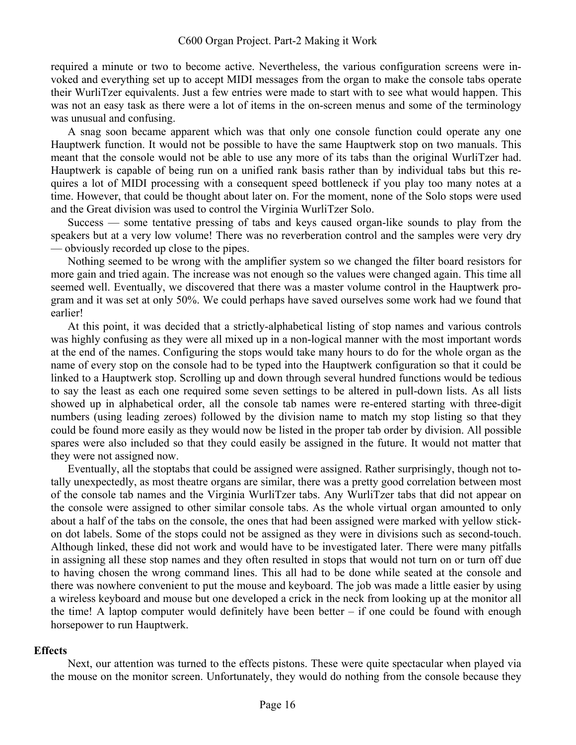required a minute or two to become active. Nevertheless, the various configuration screens were invoked and everything set up to accept MIDI messages from the organ to make the console tabs operate their WurliTzer equivalents. Just a few entries were made to start with to see what would happen. This was not an easy task as there were a lot of items in the on-screen menus and some of the terminology was unusual and confusing.

A snag soon became apparent which was that only one console function could operate any one Hauptwerk function. It would not be possible to have the same Hauptwerk stop on two manuals. This meant that the console would not be able to use any more of its tabs than the original WurliTzer had. Hauptwerk is capable of being run on a unified rank basis rather than by individual tabs but this requires a lot of MIDI processing with a consequent speed bottleneck if you play too many notes at a time. However, that could be thought about later on. For the moment, none of the Solo stops were used and the Great division was used to control the Virginia WurliTzer Solo.

Success — some tentative pressing of tabs and keys caused organ-like sounds to play from the speakers but at a very low volume! There was no reverberation control and the samples were very dry — obviously recorded up close to the pipes.

Nothing seemed to be wrong with the amplifier system so we changed the filter board resistors for more gain and tried again. The increase was not enough so the values were changed again. This time all seemed well. Eventually, we discovered that there was a master volume control in the Hauptwerk program and it was set at only 50%. We could perhaps have saved ourselves some work had we found that earlier!

At this point, it was decided that a strictly-alphabetical listing of stop names and various controls was highly confusing as they were all mixed up in a non-logical manner with the most important words at the end of the names. Configuring the stops would take many hours to do for the whole organ as the name of every stop on the console had to be typed into the Hauptwerk configuration so that it could be linked to a Hauptwerk stop. Scrolling up and down through several hundred functions would be tedious to say the least as each one required some seven settings to be altered in pull-down lists. As all lists showed up in alphabetical order, all the console tab names were re-entered starting with three-digit numbers (using leading zeroes) followed by the division name to match my stop listing so that they could be found more easily as they would now be listed in the proper tab order by division. All possible spares were also included so that they could easily be assigned in the future. It would not matter that they were not assigned now.

Eventually, all the stoptabs that could be assigned were assigned. Rather surprisingly, though not totally unexpectedly, as most theatre organs are similar, there was a pretty good correlation between most of the console tab names and the Virginia WurliTzer tabs. Any WurliTzer tabs that did not appear on the console were assigned to other similar console tabs. As the whole virtual organ amounted to only about a half of the tabs on the console, the ones that had been assigned were marked with yellow stickon dot labels. Some of the stops could not be assigned as they were in divisions such as second-touch. Although linked, these did not work and would have to be investigated later. There were many pitfalls in assigning all these stop names and they often resulted in stops that would not turn on or turn off due to having chosen the wrong command lines. This all had to be done while seated at the console and there was nowhere convenient to put the mouse and keyboard. The job was made a little easier by using a wireless keyboard and mouse but one developed a crick in the neck from looking up at the monitor all the time! A laptop computer would definitely have been better – if one could be found with enough horsepower to run Hauptwerk.

#### **Effects**

Next, our attention was turned to the effects pistons. These were quite spectacular when played via the mouse on the monitor screen. Unfortunately, they would do nothing from the console because they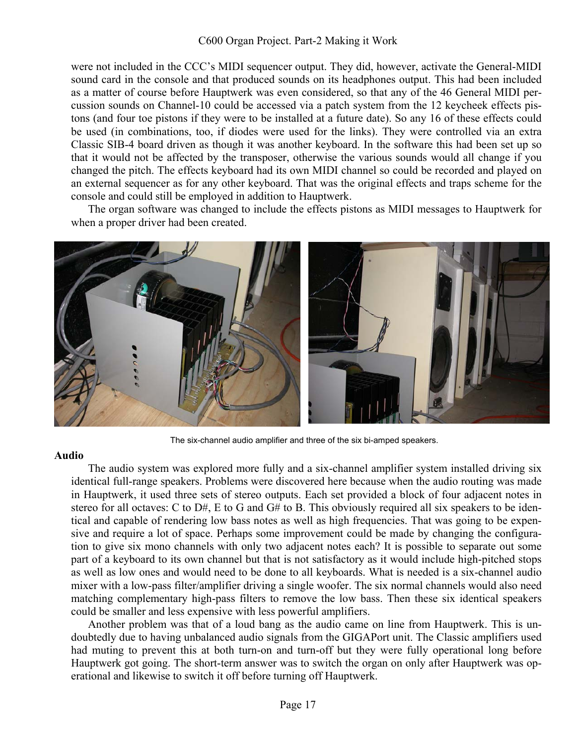were not included in the CCC's MIDI sequencer output. They did, however, activate the General-MIDI sound card in the console and that produced sounds on its headphones output. This had been included as a matter of course before Hauptwerk was even considered, so that any of the 46 General MIDI percussion sounds on Channel-10 could be accessed via a patch system from the 12 keycheek effects pistons (and four toe pistons if they were to be installed at a future date). So any 16 of these effects could be used (in combinations, too, if diodes were used for the links). They were controlled via an extra Classic SIB-4 board driven as though it was another keyboard. In the software this had been set up so that it would not be affected by the transposer, otherwise the various sounds would all change if you changed the pitch. The effects keyboard had its own MIDI channel so could be recorded and played on an external sequencer as for any other keyboard. That was the original effects and traps scheme for the console and could still be employed in addition to Hauptwerk.

The organ software was changed to include the effects pistons as MIDI messages to Hauptwerk for when a proper driver had been created.



The six-channel audio amplifier and three of the six bi-amped speakers.

#### **Audio**

The audio system was explored more fully and a six-channel amplifier system installed driving six identical full-range speakers. Problems were discovered here because when the audio routing was made in Hauptwerk, it used three sets of stereo outputs. Each set provided a block of four adjacent notes in stereo for all octaves: C to D#, E to G and G# to B. This obviously required all six speakers to be identical and capable of rendering low bass notes as well as high frequencies. That was going to be expensive and require a lot of space. Perhaps some improvement could be made by changing the configuration to give six mono channels with only two adjacent notes each? It is possible to separate out some part of a keyboard to its own channel but that is not satisfactory as it would include high-pitched stops as well as low ones and would need to be done to all keyboards. What is needed is a six-channel audio mixer with a low-pass filter/amplifier driving a single woofer. The six normal channels would also need matching complementary high-pass filters to remove the low bass. Then these six identical speakers could be smaller and less expensive with less powerful amplifiers.

Another problem was that of a loud bang as the audio came on line from Hauptwerk. This is undoubtedly due to having unbalanced audio signals from the GIGAPort unit. The Classic amplifiers used had muting to prevent this at both turn-on and turn-off but they were fully operational long before Hauptwerk got going. The short-term answer was to switch the organ on only after Hauptwerk was operational and likewise to switch it off before turning off Hauptwerk.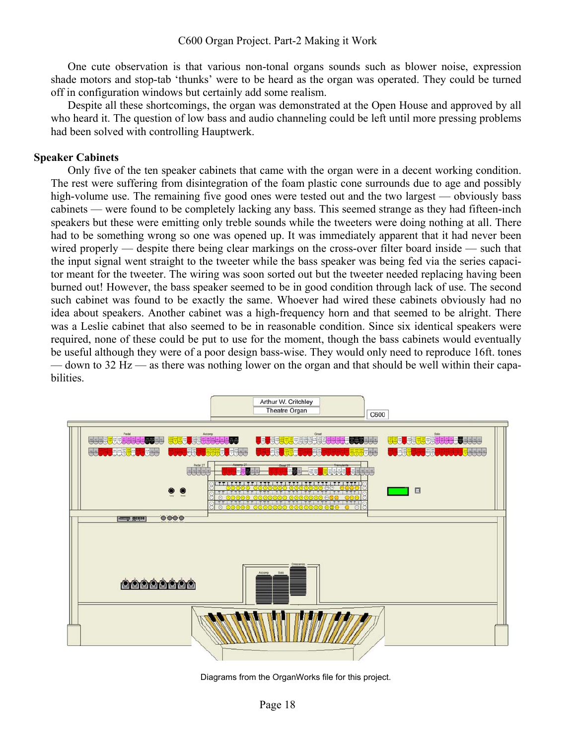One cute observation is that various non-tonal organs sounds such as blower noise, expression shade motors and stop-tab 'thunks' were to be heard as the organ was operated. They could be turned off in configuration windows but certainly add some realism.

Despite all these shortcomings, the organ was demonstrated at the Open House and approved by all who heard it. The question of low bass and audio channeling could be left until more pressing problems had been solved with controlling Hauptwerk.

#### **Speaker Cabinets**

Only five of the ten speaker cabinets that came with the organ were in a decent working condition. The rest were suffering from disintegration of the foam plastic cone surrounds due to age and possibly high-volume use. The remaining five good ones were tested out and the two largest — obviously bass cabinets — were found to be completely lacking any bass. This seemed strange as they had fifteen-inch speakers but these were emitting only treble sounds while the tweeters were doing nothing at all. There had to be something wrong so one was opened up. It was immediately apparent that it had never been wired properly — despite there being clear markings on the cross-over filter board inside — such that the input signal went straight to the tweeter while the bass speaker was being fed via the series capacitor meant for the tweeter. The wiring was soon sorted out but the tweeter needed replacing having been burned out! However, the bass speaker seemed to be in good condition through lack of use. The second such cabinet was found to be exactly the same. Whoever had wired these cabinets obviously had no idea about speakers. Another cabinet was a high-frequency horn and that seemed to be alright. There was a Leslie cabinet that also seemed to be in reasonable condition. Since six identical speakers were required, none of these could be put to use for the moment, though the bass cabinets would eventually be useful although they were of a poor design bass-wise. They would only need to reproduce 16ft. tones — down to 32 Hz — as there was nothing lower on the organ and that should be well within their capabilities.



Diagrams from the OrganWorks file for this project.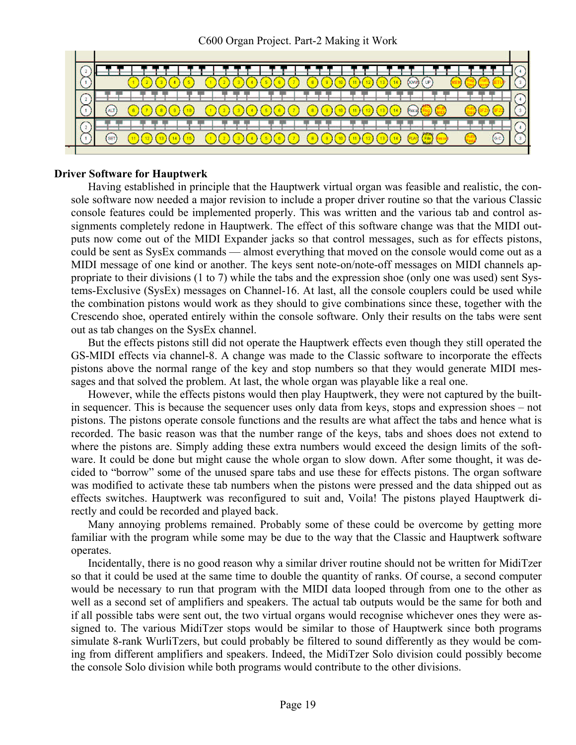|  | <b>DOWN</b>                                                                          |  |
|--|--------------------------------------------------------------------------------------|--|
|  | .                                                                                    |  |
|  | ⌒<br>œ<br>)600 0000<br>$\binom{11}{12}$ $\binom{13}{14}$<br>2)(3)(4)<br>Recal (Reg.) |  |
|  |                                                                                      |  |
|  | $F(x)$ $F(x)$ $F(x)$<br>ac<br>ଇ                                                      |  |
|  |                                                                                      |  |

#### **Driver Software for Hauptwerk**

Having established in principle that the Hauptwerk virtual organ was feasible and realistic, the console software now needed a major revision to include a proper driver routine so that the various Classic console features could be implemented properly. This was written and the various tab and control assignments completely redone in Hauptwerk. The effect of this software change was that the MIDI outputs now come out of the MIDI Expander jacks so that control messages, such as for effects pistons, could be sent as SysEx commands — almost everything that moved on the console would come out as a MIDI message of one kind or another. The keys sent note-on/note-off messages on MIDI channels appropriate to their divisions (1 to 7) while the tabs and the expression shoe (only one was used) sent Systems-Exclusive (SysEx) messages on Channel-16. At last, all the console couplers could be used while the combination pistons would work as they should to give combinations since these, together with the Crescendo shoe, operated entirely within the console software. Only their results on the tabs were sent out as tab changes on the SysEx channel.

But the effects pistons still did not operate the Hauptwerk effects even though they still operated the GS-MIDI effects via channel-8. A change was made to the Classic software to incorporate the effects pistons above the normal range of the key and stop numbers so that they would generate MIDI messages and that solved the problem. At last, the whole organ was playable like a real one.

However, while the effects pistons would then play Hauptwerk, they were not captured by the builtin sequencer. This is because the sequencer uses only data from keys, stops and expression shoes – not pistons. The pistons operate console functions and the results are what affect the tabs and hence what is recorded. The basic reason was that the number range of the keys, tabs and shoes does not extend to where the pistons are. Simply adding these extra numbers would exceed the design limits of the software. It could be done but might cause the whole organ to slow down. After some thought, it was decided to "borrow" some of the unused spare tabs and use these for effects pistons. The organ software was modified to activate these tab numbers when the pistons were pressed and the data shipped out as effects switches. Hauptwerk was reconfigured to suit and, Voila! The pistons played Hauptwerk directly and could be recorded and played back.

Many annoying problems remained. Probably some of these could be overcome by getting more familiar with the program while some may be due to the way that the Classic and Hauptwerk software operates.

Incidentally, there is no good reason why a similar driver routine should not be written for MidiTzer so that it could be used at the same time to double the quantity of ranks. Of course, a second computer would be necessary to run that program with the MIDI data looped through from one to the other as well as a second set of amplifiers and speakers. The actual tab outputs would be the same for both and if all possible tabs were sent out, the two virtual organs would recognise whichever ones they were assigned to. The various MidiTzer stops would be similar to those of Hauptwerk since both programs simulate 8-rank WurliTzers, but could probably be filtered to sound differently as they would be coming from different amplifiers and speakers. Indeed, the MidiTzer Solo division could possibly become the console Solo division while both programs would contribute to the other divisions.